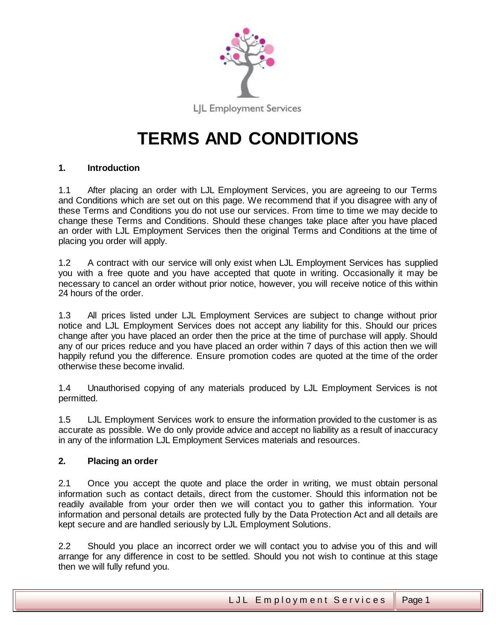

# **TERMS AND CONDITIONS**

## **1. Introduction**

1.1 After placing an order with LJL Employment Services, you are agreeing to our Terms and Conditions which are set out on this page. We recommend that if you disagree with any of these Terms and Conditions you do not use our services. From time to time we may decide to change these Terms and Conditions. Should these changes take place after you have placed an order with LJL Employment Services then the original Terms and Conditions at the time of placing you order will apply.

1.2 A contract with our service will only exist when LJL Employment Services has supplied you with a free quote and you have accepted that quote in writing. Occasionally it may be necessary to cancel an order without prior notice, however, you will receive notice of this within 24 hours of the order.

1.3 All prices listed under LJL Employment Services are subject to change without prior notice and LJL Employment Services does not accept any liability for this. Should our prices change after you have placed an order then the price at the time of purchase will apply. Should any of our prices reduce and you have placed an order within 7 days of this action then we will happily refund you the difference. Ensure promotion codes are quoted at the time of the order otherwise these become invalid.

1.4 Unauthorised copying of any materials produced by LJL Employment Services is not permitted.

1.5 LJL Employment Services work to ensure the information provided to the customer is as accurate as possible. We do only provide advice and accept no liability as a result of inaccuracy in any of the information LJL Employment Services materials and resources.

#### **2. Placing an order**

2.1 Once you accept the quote and place the order in writing, we must obtain personal information such as contact details, direct from the customer. Should this information not be readily available from your order then we will contact you to gather this information. Your information and personal details are protected fully by the Data Protection Act and all details are kept secure and are handled seriously by LJL Employment Solutions.

2.2 Should you place an incorrect order we will contact you to advise you of this and will arrange for any difference in cost to be settled. Should you not wish to continue at this stage then we will fully refund you.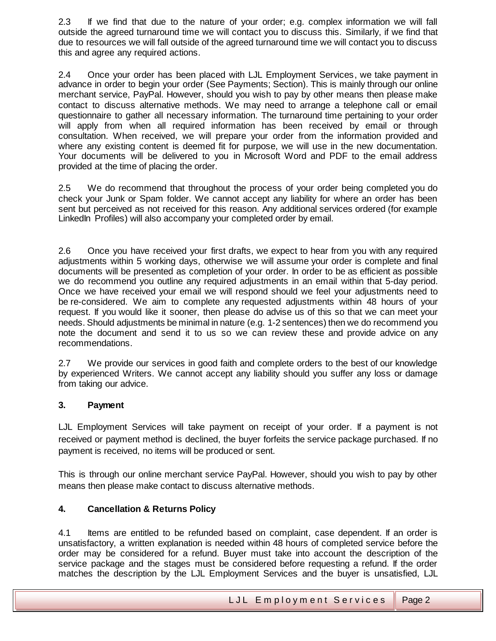2.3 If we find that due to the nature of your order; e.g. complex information we will fall outside the agreed turnaround time we will contact you to discuss this. Similarly, if we find that due to resources we will fall outside of the agreed turnaround time we will contact you to discuss this and agree any required actions.

2.4 Once your order has been placed with LJL Employment Services, we take payment in advance in order to begin your order (See Payments; Section). This is mainly through our online merchant service, PayPal. However, should you wish to pay by other means then please make contact to discuss alternative methods. We may need to arrange a telephone call or email questionnaire to gather all necessary information. The turnaround time pertaining to your order will apply from when all required information has been received by email or through consultation. When received, we will prepare your order from the information provided and where any existing content is deemed fit for purpose, we will use in the new documentation. Your documents will be delivered to you in Microsoft Word and PDF to the email address provided at the time of placing the order.

2.5 We do recommend that throughout the process of your order being completed you do check your Junk or Spam folder. We cannot accept any liability for where an order has been sent but perceived as not received for this reason. Any additional services ordered (for example LinkedIn Profiles) will also accompany your completed order by email.

2.6 Once you have received your first drafts, we expect to hear from you with any required adjustments within 5 working days, otherwise we will assume your order is complete and final documents will be presented as completion of your order. In order to be as efficient as possible we do recommend you outline any required adjustments in an email within that 5-day period. Once we have received your email we will respond should we feel your adjustments need to be re-considered. We aim to complete any requested adjustments within 48 hours of your request. If you would like it sooner, then please do advise us of this so that we can meet your needs. Should adjustments be minimal in nature (e.g. 1-2 sentences) then we do recommend you note the document and send it to us so we can review these and provide advice on any recommendations.

2.7 We provide our services in good faith and complete orders to the best of our knowledge by experienced Writers. We cannot accept any liability should you suffer any loss or damage from taking our advice.

## **3. Payment**

LJL Employment Services will take payment on receipt of your order. If a payment is not received or payment method is declined, the buyer forfeits the service package purchased. If no payment is received, no items will be produced or sent.

This is through our online merchant service PayPal. However, should you wish to pay by other means then please make contact to discuss alternative methods.

# **4. Cancellation & Returns Policy**

4.1 Items are entitled to be refunded based on complaint, case dependent. If an order is unsatisfactory, a written explanation is needed within 48 hours of completed service before the order may be considered for a refund. Buyer must take into account the description of the service package and the stages must be considered before requesting a refund. If the order matches the description by the LJL Employment Services and the buyer is unsatisfied, LJL